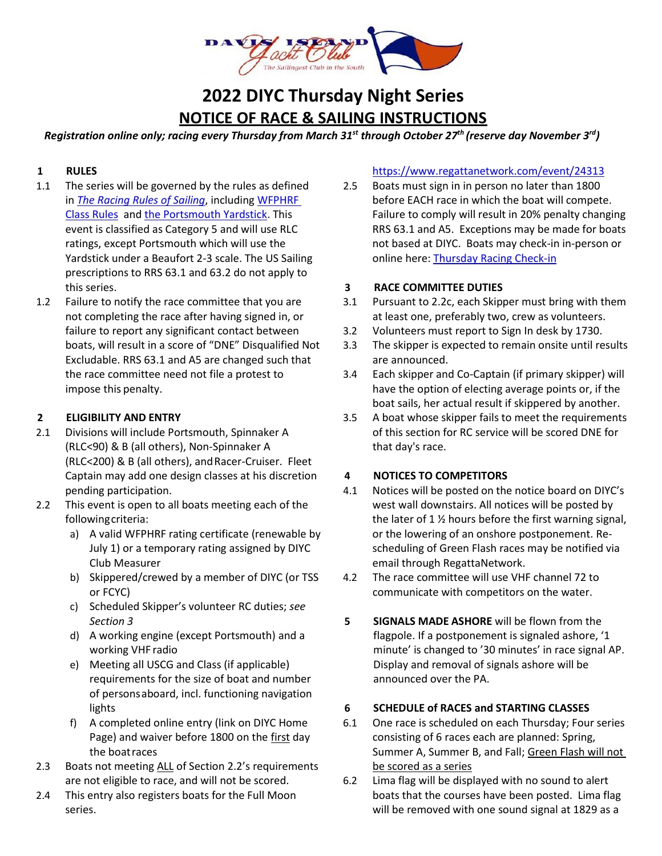

# **2022 DIYC Thursday Night Series NOTICE OF RACE & SAILING INSTRUCTIONS**

*Registration online only; racing every Thursday from March 31st through October 27th (reserve day November 3rd)*

### **1 RULES**

- 1.1 The series will be governed by the rules as defined in *[The Racing Rules of Sailing](https://www.racingrulesofsailing.org/rules)*, including [WFPHRF](https://westfloridaphrf.org/wp-content/uploads/2021/08/WFPHRF-Class-Rules-CURRENT-as-of-8-12-21.pdf)  [Class Rules](https://westfloridaphrf.org/wp-content/uploads/2021/08/WFPHRF-Class-Rules-CURRENT-as-of-8-12-21.pdf) an[d the Portsmouth Yardstick.](https://www.ussailing.org/wp-content/uploads/2018/01/2017-North-American-Portsmouth-Yardstick-Handbook.pdf) This event is classified as Category 5 and will use RLC ratings, except Portsmouth which will use the Yardstick under a Beaufort 2-3 scale. The US Sailing prescriptions to RRS 63.1 and 63.2 do not apply to this series.
- 1.2 Failure to notify the race committee that you are not completing the race after having signed in, or failure to report any significant contact between boats, will result in a score of "DNE" Disqualified Not Excludable. RRS 63.1 and A5 are changed such that the race committee need not file a protest to impose this penalty.

### **2 ELIGIBILITY AND ENTRY**

- 2.1 Divisions will include Portsmouth, Spinnaker A (RLC<90) & B (all others), Non-Spinnaker A (RLC<200) & B (all others), andRacer-Cruiser. Fleet Captain may add one design classes at his discretion pending participation.
- 2.2 This event is open to all boats meeting each of the followingcriteria:
	- a) A valid WFPHRF rating certificate (renewable by July 1) or a temporary rating assigned by DIYC Club Measurer
	- b) Skippered/crewed by a member of DIYC (or TSS or FCYC)
	- c) Scheduled Skipper's volunteer RC duties; *see Section 3*
	- d) A working engine (except Portsmouth) and a working VHF radio
	- e) Meeting all USCG and Class (if applicable) requirements for the size of boat and number of personsaboard, incl. functioning navigation lights
	- f) A completed online entry (link on DIYC Home Page) and waiver before 1800 on the first day the boatraces
- 2.3 Boats not meeting ALL of Section 2.2's requirements are not eligible to race, and will not be scored.
- 2.4 This entry also registers boats for the Full Moon series.

### <https://www.regattanetwork.com/event/24313>

2.5 Boats must sign in in person no later than 1800 before EACH race in which the boat will compete. Failure to comply will result in 20% penalty changing RRS 63.1 and A5. Exceptions may be made for boats not based at DIYC. Boats may check-in in-person or online here: [Thursday Racing Check-in](https://docs.google.com/forms/d/e/1FAIpQLSdWcR66A9mS8KvaR9JD52pw_CcCGEYIDMReugMtHx1EiHLQ9A/viewform)

### **3 RACE COMMITTEE DUTIES**

- 3.1 Pursuant to 2.2c, each Skipper must bring with them at least one, preferably two, crew as volunteers.
- 3.2 Volunteers must report to Sign In desk by 1730.
- 3.3 The skipper is expected to remain onsite until results are announced.
- 3.4 Each skipper and Co-Captain (if primary skipper) will have the option of electing average points or, if the boat sails, her actual result if skippered by another.
- 3.5 A boat whose skipper fails to meet the requirements of this section for RC service will be scored DNE for that day's race.

# **4 NOTICES TO COMPETITORS**

- 4.1 Notices will be posted on the notice board on DIYC's west wall downstairs. All notices will be posted by the later of  $1\frac{1}{2}$  hours before the first warning signal, or the lowering of an onshore postponement. Rescheduling of Green Flash races may be notified via email through RegattaNetwork.
- 4.2 The race committee will use VHF channel 72 to communicate with competitors on the water.
- **5 SIGNALS MADE ASHORE** will be flown from the flagpole. If a postponement is signaled ashore, '1 minute' is changed to '30 minutes' in race signal AP. Display and removal of signals ashore will be announced over the PA.

# **6 SCHEDULE of RACES and STARTING CLASSES**

- 6.1 One race is scheduled on each Thursday; Four series consisting of 6 races each are planned: Spring, Summer A, Summer B, and Fall; Green Flash will not be scored as a series
- 6.2 Lima flag will be displayed with no sound to alert boats that the courses have been posted. Lima flag will be removed with one sound signal at 1829 as a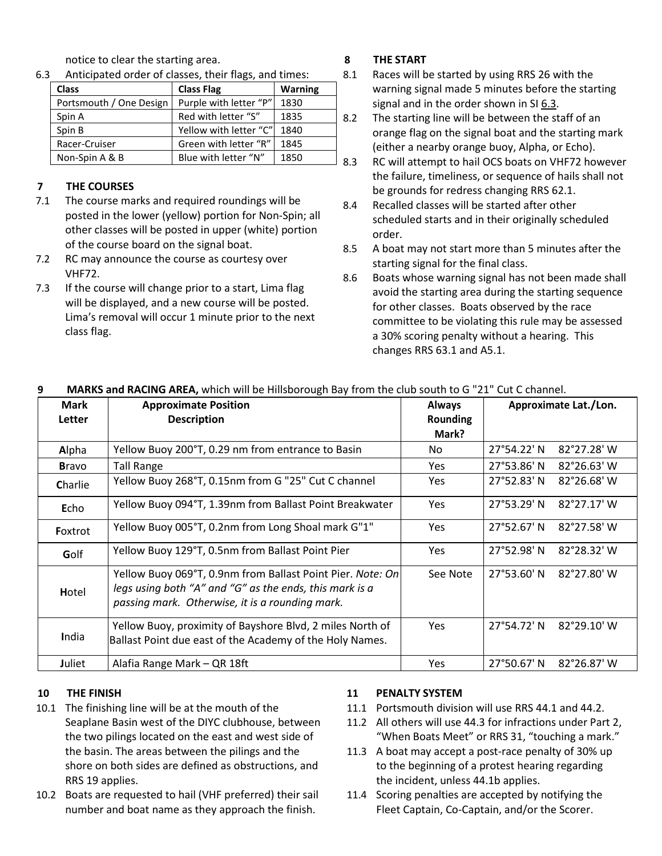notice to clear the starting area.

6.3 Anticipated order of classes, their flags, and times:

| <b>Class</b>            | <b>Class Flag</b>      | <b>Warning</b> |   |
|-------------------------|------------------------|----------------|---|
| Portsmouth / One Design | Purple with letter "P" | 1830           |   |
| Spin A                  | Red with letter "S"    | 1835           | 8 |
| Spin B                  | Yellow with letter "C" | 1840           |   |
| Racer-Cruiser           | Green with letter "R"  | 1845           |   |
| Non-Spin A & B          | Blue with letter "N"   | 1850           | Я |

# **7 THE COURSES**

- 7.1 The course marks and required roundings will be posted in the lower (yellow) portion for Non-Spin; all other classes will be posted in upper (white) portion of the course board on the signal boat.
- 7.2 RC may announce the course as courtesy over VHF72.
- 7.3 If the course will change prior to a start, Lima flag will be displayed, and a new course will be posted. Lima's removal will occur 1 minute prior to the next class flag.

# **8 THE START**

- 8.1 Races will be started by using RRS 26 with the warning signal made 5 minutes before the starting signal and in the order shown in SI 6.3.
- 8.2 The starting line will be between the staff of an orange flag on the signal boat and the starting mark (either a nearby orange buoy, Alpha, or Echo).
- 8.3 RC will attempt to hail OCS boats on VHF72 however the failure, timeliness, or sequence of hails shall not be grounds for redress changing RRS 62.1.
- 8.4 Recalled classes will be started after other scheduled starts and in their originally scheduled order.
- 8.5 A boat may not start more than 5 minutes after the starting signal for the final class.
- 8.6 Boats whose warning signal has not been made shall avoid the starting area during the starting sequence for other classes. Boats observed by the race committee to be violating this rule may be assessed a 30% scoring penalty without a hearing. This changes RRS 63.1 and A5.1.

| <b>Mark</b>    | <b>Approximate Position</b>                                                                                                                                              | <b>Always</b>     | Approximate Lat./Lon.                                 |
|----------------|--------------------------------------------------------------------------------------------------------------------------------------------------------------------------|-------------------|-------------------------------------------------------|
| Letter         | <b>Description</b>                                                                                                                                                       | Rounding<br>Mark? |                                                       |
| Alpha          | Yellow Buoy 200°T, 0.29 nm from entrance to Basin                                                                                                                        | No.               | $27^{\circ}54.22^{\prime}$ N<br>$82^{\circ}27.28$ ' W |
| <b>Bravo</b>   | <b>Tall Range</b>                                                                                                                                                        | <b>Yes</b>        | 27°53.86' N<br>82°26.63' W                            |
| Charlie        | Yellow Buoy 268°T, 0.15nm from G "25" Cut C channel                                                                                                                      | <b>Yes</b>        | 27°52.83' N<br>$82^{\circ}26.68'$ W                   |
| Echo           | Yellow Buoy 094°T, 1.39nm from Ballast Point Breakwater                                                                                                                  | <b>Yes</b>        | 27°53.29' N<br>82°27.17' W                            |
| Foxtrot        | Yellow Buoy 005°T, 0.2nm from Long Shoal mark G"1"                                                                                                                       | <b>Yes</b>        | 27°52.67' N<br>82°27.58' W                            |
| Golf           | Yellow Buoy 129°T, 0.5nm from Ballast Point Pier                                                                                                                         | <b>Yes</b>        | 27°52.98' N<br>82°28.32' W                            |
| Hotel          | Yellow Buoy 069°T, 0.9nm from Ballast Point Pier. Note: On<br>legs using both "A" and "G" as the ends, this mark is a<br>passing mark. Otherwise, it is a rounding mark. | See Note          | 27°53.60' N<br>82°27.80' W                            |
| India          | Yellow Buoy, proximity of Bayshore Blvd, 2 miles North of<br>Ballast Point due east of the Academy of the Holy Names.                                                    | <b>Yes</b>        | 27°54.72' N<br>82°29.10' W                            |
| <b>J</b> uliet | Alafia Range Mark - QR 18ft                                                                                                                                              | <b>Yes</b>        | 27°50.67' N<br>82°26.87' W                            |

# **9 MARKS and RACING AREA,** which will be Hillsborough Bay from the club south to G "21" Cut C channel.

#### **10 THE FINISH**

- 10.1 The finishing line will be at the mouth of the Seaplane Basin west of the DIYC clubhouse, between the two pilings located on the east and west side of the basin. The areas between the pilings and the shore on both sides are defined as obstructions, and RRS 19 applies.
- 10.2 Boats are requested to hail (VHF preferred) their sail number and boat name as they approach the finish.

# **11 PENALTY SYSTEM**

- 11.1 Portsmouth division will use RRS 44.1 and 44.2.
- 11.2 All others will use 44.3 for infractions under Part 2, "When Boats Meet" or RRS 31, "touching a mark."
- 11.3 A boat may accept a post-race penalty of 30% up to the beginning of a protest hearing regarding the incident, unless 44.1b applies.
- 11.4 Scoring penalties are accepted by notifying the Fleet Captain, Co-Captain, and/or the Scorer.